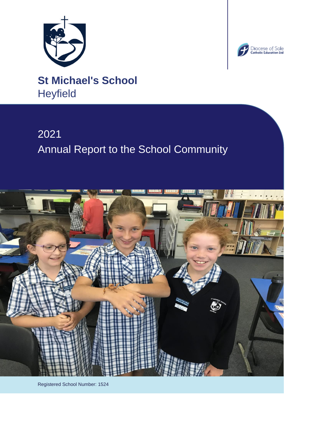



**St Michael's School Heyfield** 

# 2021 Annual Report to the School Community



Registered School Number: 1524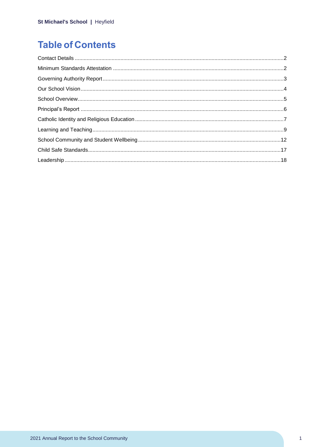# **Table of Contents**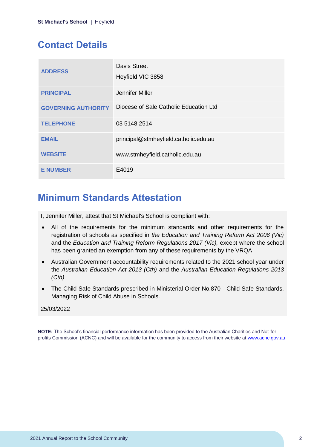# <span id="page-2-0"></span>**Contact Details**

| <b>ADDRESS</b>             | Davis Street<br>Heyfield VIC 3858      |
|----------------------------|----------------------------------------|
| <b>PRINCIPAL</b>           | Jennifer Miller                        |
| <b>GOVERNING AUTHORITY</b> | Diocese of Sale Catholic Education Ltd |
| <b>TELEPHONE</b>           | 03 5148 2514                           |
| <b>EMAIL</b>               | principal@stmheyfield.catholic.edu.au  |
| <b>WEBSITE</b>             | www.stmheyfield.catholic.edu.au        |
| <b>E NUMBER</b>            | E4019                                  |

# <span id="page-2-1"></span>**Minimum Standards Attestation**

I, Jennifer Miller, attest that St Michael's School is compliant with:

- All of the requirements for the minimum standards and other requirements for the registration of schools as specified in *the Education and Training Reform Act 2006 (Vic)* and the *Education and Training Reform Regulations 2017 (Vic),* except where the school has been granted an exemption from any of these requirements by the VRQA
- Australian Government accountability requirements related to the 2021 school year under the *Australian Education Act 2013 (Cth)* and the *Australian Education Regulations 2013 (Cth)*
- The Child Safe Standards prescribed in Ministerial Order No.870 Child Safe Standards, Managing Risk of Child Abuse in Schools.

### 25/03/2022

**NOTE:** The School's financial performance information has been provided to the Australian Charities and Not-forprofits Commission (ACNC) and will be available for the community to access from their website at [www.acnc.gov.au](http://www.acnc.gov.au/)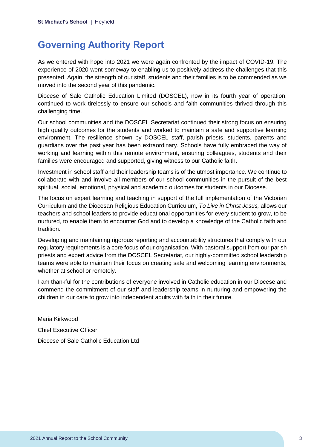# <span id="page-3-0"></span>**Governing Authority Report**

As we entered with hope into 2021 we were again confronted by the impact of COVID-19. The experience of 2020 went someway to enabling us to positively address the challenges that this presented. Again, the strength of our staff, students and their families is to be commended as we moved into the second year of this pandemic.

Diocese of Sale Catholic Education Limited (DOSCEL), now in its fourth year of operation, continued to work tirelessly to ensure our schools and faith communities thrived through this challenging time.

Our school communities and the DOSCEL Secretariat continued their strong focus on ensuring high quality outcomes for the students and worked to maintain a safe and supportive learning environment. The resilience shown by DOSCEL staff, parish priests, students, parents and guardians over the past year has been extraordinary. Schools have fully embraced the way of working and learning within this remote environment, ensuring colleagues, students and their families were encouraged and supported, giving witness to our Catholic faith.

Investment in school staff and their leadership teams is of the utmost importance. We continue to collaborate with and involve all members of our school communities in the pursuit of the best spiritual, social, emotional, physical and academic outcomes for students in our Diocese.

The focus on expert learning and teaching in support of the full implementation of the Victorian Curriculum and the Diocesan Religious Education Curriculum, *To Live in Christ Jesus,* allows our teachers and school leaders to provide educational opportunities for every student to grow, to be nurtured, to enable them to encounter God and to develop a knowledge of the Catholic faith and tradition.

Developing and maintaining rigorous reporting and accountability structures that comply with our regulatory requirements is a core focus of our organisation. With pastoral support from our parish priests and expert advice from the DOSCEL Secretariat, our highly-committed school leadership teams were able to maintain their focus on creating safe and welcoming learning environments, whether at school or remotely.

I am thankful for the contributions of everyone involved in Catholic education in our Diocese and commend the commitment of our staff and leadership teams in nurturing and empowering the children in our care to grow into independent adults with faith in their future.

Maria Kirkwood Chief Executive Officer Diocese of Sale Catholic Education Ltd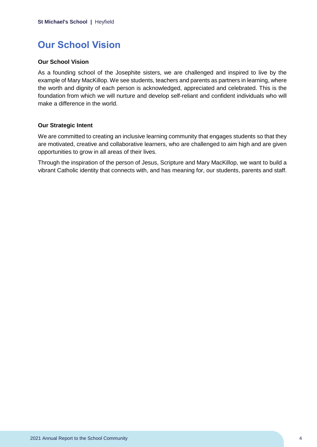# <span id="page-4-0"></span>**Our School Vision**

### **Our School Vision**

As a founding school of the Josephite sisters, we are challenged and inspired to live by the example of Mary MacKillop. We see students, teachers and parents as partners in learning, where the worth and dignity of each person is acknowledged, appreciated and celebrated. This is the foundation from which we will nurture and develop self-reliant and confident individuals who will make a difference in the world.

#### **Our Strategic Intent**

We are committed to creating an inclusive learning community that engages students so that they are motivated, creative and collaborative learners, who are challenged to aim high and are given opportunities to grow in all areas of their lives.

Through the inspiration of the person of Jesus, Scripture and Mary MacKillop, we want to build a vibrant Catholic identity that connects with, and has meaning for, our students, parents and staff.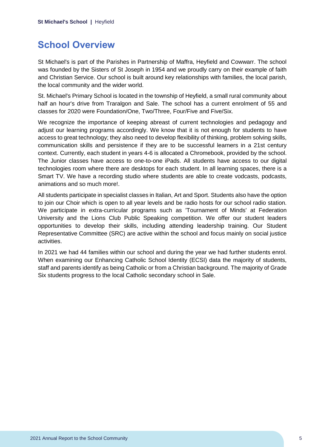# <span id="page-5-0"></span>**School Overview**

St Michael's is part of the Parishes in Partnership of Maffra, Heyfield and Cowwarr. The school was founded by the Sisters of St Joseph in 1954 and we proudly carry on their example of faith and Christian Service. Our school is built around key relationships with families, the local parish, the local community and the wider world.

St. Michael's Primary School is located in the township of Heyfield, a small rural community about half an hour's drive from Traralgon and Sale. The school has a current enrolment of 55 and classes for 2020 were Foundation/One, Two/Three, Four/Five and Five/Six.

We recognize the importance of keeping abreast of current technologies and pedagogy and adjust our learning programs accordingly. We know that it is not enough for students to have access to great technology; they also need to develop flexibility of thinking, problem solving skills, communication skills and persistence if they are to be successful learners in a 21st century context. Currently, each student in years 4-6 is allocated a Chromebook, provided by the school. The Junior classes have access to one-to-one iPads. All students have access to our digital technologies room where there are desktops for each student. In all learning spaces, there is a Smart TV. We have a recording studio where students are able to create vodcasts, podcasts, animations and so much more!.

All students participate in specialist classes in Italian, Art and Sport. Students also have the option to join our Choir which is open to all year levels and be radio hosts for our school radio station. We participate in extra-curricular programs such as 'Tournament of Minds' at Federation University and the Lions Club Public Speaking competition. We offer our student leaders opportunities to develop their skills, including attending leadership training. Our Student Representative Committee (SRC) are active within the school and focus mainly on social justice activities.

In 2021 we had 44 families within our school and during the year we had further students enrol. When examining our Enhancing Catholic School Identity (ECSI) data the majority of students, staff and parents identify as being Catholic or from a Christian background. The majority of Grade Six students progress to the local Catholic secondary school in Sale.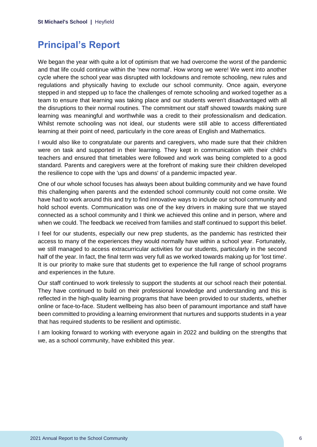# <span id="page-6-0"></span>**Principal's Report**

We began the year with quite a lot of optimism that we had overcome the worst of the pandemic and that life could continue within the 'new normal'. How wrong we were! We went into another cycle where the school year was disrupted with lockdowns and remote schooling, new rules and regulations and physically having to exclude our school community. Once again, everyone stepped in and stepped up to face the challenges of remote schooling and worked together as a team to ensure that learning was taking place and our students weren't disadvantaged with all the disruptions to their normal routines. The commitment our staff showed towards making sure learning was meaningful and worthwhile was a credit to their professionalism and dedication. Whilst remote schooling was not ideal, our students were still able to access differentiated learning at their point of need, particularly in the core areas of English and Mathematics.

I would also like to congratulate our parents and caregivers, who made sure that their children were on task and supported in their learning. They kept in communication with their child's teachers and ensured that timetables were followed and work was being completed to a good standard. Parents and caregivers were at the forefront of making sure their children developed the resilience to cope with the 'ups and downs' of a pandemic impacted year.

One of our whole school focuses has always been about building community and we have found this challenging when parents and the extended school community could not come onsite. We have had to work around this and try to find innovative ways to include our school community and hold school events. Communication was one of the key drivers in making sure that we stayed connected as a school community and I think we achieved this online and in person, where and when we could. The feedback we received from families and staff continued to support this belief.

I feel for our students, especially our new prep students, as the pandemic has restricted their access to many of the experiences they would normally have within a school year. Fortunately, we still managed to access extracurricular activities for our students, particularly in the second half of the year. In fact, the final term was very full as we worked towards making up for 'lost time'. It is our priority to make sure that students get to experience the full range of school programs and experiences in the future.

Our staff continued to work tirelessly to support the students at our school reach their potential. They have continued to build on their professional knowledge and understanding and this is reflected in the high-quality learning programs that have been provided to our students, whether online or face-to-face. Student wellbeing has also been of paramount importance and staff have been committed to providing a learning environment that nurtures and supports students in a year that has required students to be resilient and optimistic.

I am looking forward to working with everyone again in 2022 and building on the strengths that we, as a school community, have exhibited this year.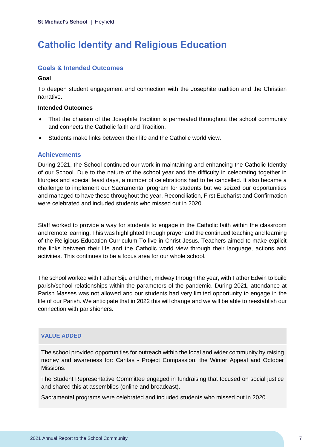# <span id="page-7-0"></span>**Catholic Identity and Religious Education**

# **Goals & Intended Outcomes**

#### **Goal**

To deepen student engagement and connection with the Josephite tradition and the Christian narrative.

### **Intended Outcomes**

- That the charism of the Josephite tradition is permeated throughout the school community and connects the Catholic faith and Tradition.
- Students make links between their life and the Catholic world view.

### **Achievements**

During 2021, the School continued our work in maintaining and enhancing the Catholic Identity of our School. Due to the nature of the school year and the difficulty in celebrating together in liturgies and special feast days, a number of celebrations had to be cancelled. It also became a challenge to implement our Sacramental program for students but we seized our opportunities and managed to have these throughout the year. Reconciliation, First Eucharist and Confirmation were celebrated and included students who missed out in 2020.

Staff worked to provide a way for students to engage in the Catholic faith within the classroom and remote learning. This was highlighted through prayer and the continued teaching and learning of the Religious Education Curriculum To live in Christ Jesus. Teachers aimed to make explicit the links between their life and the Catholic world view through their language, actions and activities. This continues to be a focus area for our whole school.

The school worked with Father Siju and then, midway through the year, with Father Edwin to build parish/school relationships within the parameters of the pandemic. During 2021, attendance at Parish Masses was not allowed and our students had very limited opportunity to engage in the life of our Parish. We anticipate that in 2022 this will change and we will be able to reestablish our connection with parishioners.

### **VALUE ADDED**

The school provided opportunities for outreach within the local and wider community by raising money and awareness for: Caritas - Project Compassion, the Winter Appeal and October Missions.

The Student Representative Committee engaged in fundraising that focused on social justice and shared this at assemblies (online and broadcast).

Sacramental programs were celebrated and included students who missed out in 2020.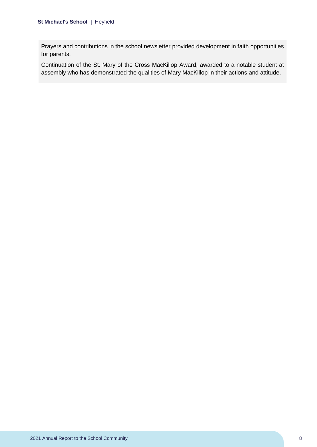Prayers and contributions in the school newsletter provided development in faith opportunities for parents.

Continuation of the St. Mary of the Cross MacKillop Award, awarded to a notable student at assembly who has demonstrated the qualities of Mary MacKillop in their actions and attitude.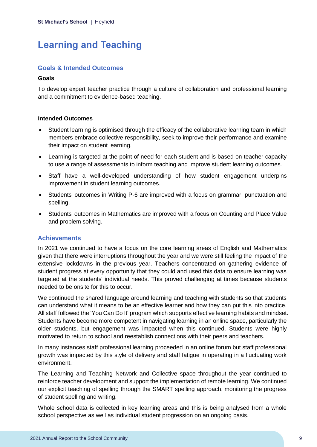# <span id="page-9-0"></span>**Learning and Teaching**

# **Goals & Intended Outcomes**

#### **Goals**

To develop expert teacher practice through a culture of collaboration and professional learning and a commitment to evidence-based teaching.

#### **Intended Outcomes**

- Student learning is optimised through the efficacy of the collaborative learning team in which members embrace collective responsibility, seek to improve their performance and examine their impact on student learning.
- Learning is targeted at the point of need for each student and is based on teacher capacity to use a range of assessments to inform teaching and improve student learning outcomes.
- Staff have a well-developed understanding of how student engagement underpins improvement in student learning outcomes.
- Students' outcomes in Writing P-6 are improved with a focus on grammar, punctuation and spelling.
- Students' outcomes in Mathematics are improved with a focus on Counting and Place Value and problem solving.

### **Achievements**

In 2021 we continued to have a focus on the core learning areas of English and Mathematics given that there were interruptions throughout the year and we were still feeling the impact of the extensive lockdowns in the previous year. Teachers concentrated on gathering evidence of student progress at every opportunity that they could and used this data to ensure learning was targeted at the students' individual needs. This proved challenging at times because students needed to be onsite for this to occur.

We continued the shared language around learning and teaching with students so that students can understand what it means to be an effective learner and how they can put this into practice. All staff followed the 'You Can Do It' program which supports effective learning habits and mindset. Students have become more competent in navigating learning in an online space, particularly the older students, but engagement was impacted when this continued. Students were highly motivated to return to school and reestablish connections with their peers and teachers.

In many instances staff professional learning proceeded in an online forum but staff professional growth was impacted by this style of delivery and staff fatigue in operating in a fluctuating work environment.

The Learning and Teaching Network and Collective space throughout the year continued to reinforce teacher development and support the implementation of remote learning. We continued our explicit teaching of spelling through the SMART spelling approach, monitoring the progress of student spelling and writing.

Whole school data is collected in key learning areas and this is being analysed from a whole school perspective as well as individual student progression on an ongoing basis.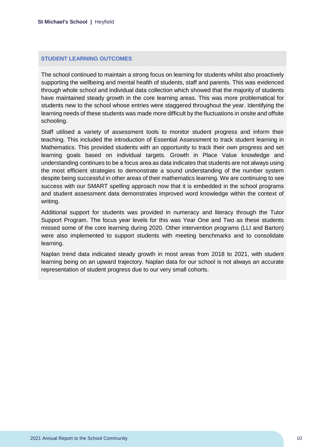#### **STUDENT LEARNING OUTCOMES**

The school continued to maintain a strong focus on learning for students whilst also proactively supporting the wellbeing and mental health of students, staff and parents. This was evidenced through whole school and individual data collection which showed that the majority of students have maintained steady growth in the core learning areas. This was more problematical for students new to the school whose entries were staggered throughout the year. Identifying the learning needs of these students was made more difficult by the fluctuations in onsite and offsite schooling.

Staff utilised a variety of assessment tools to monitor student progress and inform their teaching. This included the introduction of Essential Assessment to track student learning in Mathematics. This provided students with an opportunity to track their own progress and set learning goals based on individual targets. Growth in Place Value knowledge and understanding continues to be a focus area as data indicates that students are not always using the most efficient strategies to demonstrate a sound understanding of the number system despite being successful in other areas of their mathematics learning. We are continuing to see success with our SMART spelling approach now that it is embedded in the school programs and student assessment data demonstrates improved word knowledge within the context of writing.

Additional support for students was provided in numeracy and literacy through the Tutor Support Program. The focus year levels for this was Year One and Two as these students missed some of the core learning during 2020. Other intervention programs (LLI and Barton) were also implemented to support students with meeting benchmarks and to consolidate learning.

Naplan trend data indicated steady growth in most areas from 2018 to 2021, with student learning being on an upward trajectory. Naplan data for our school is not always an accurate representation of student progress due to our very small cohorts.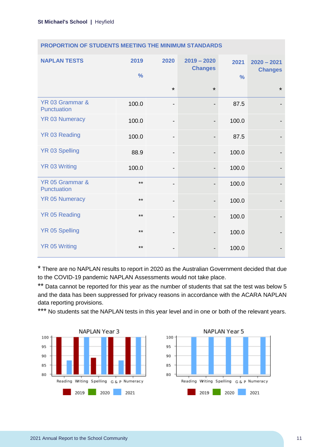| <b>NAPLAN TESTS</b>            | 2019<br>$\frac{9}{6}$ | 2020                     | $2019 - 2020$<br><b>Changes</b> | 2021<br>$\frac{0}{0}$ | $2020 - 2021$<br><b>Changes</b> |
|--------------------------------|-----------------------|--------------------------|---------------------------------|-----------------------|---------------------------------|
|                                |                       | $\star$                  | $\star$                         |                       | $\star$                         |
| YR 03 Grammar &<br>Punctuation | 100.0                 | -                        |                                 | 87.5                  |                                 |
| <b>YR 03 Numeracy</b>          | 100.0                 | -                        | $\overline{\phantom{a}}$        | 100.0                 |                                 |
| <b>YR 03 Reading</b>           | 100.0                 | -                        |                                 | 87.5                  |                                 |
| <b>YR 03 Spelling</b>          | 88.9                  | -                        |                                 | 100.0                 |                                 |
| <b>YR 03 Writing</b>           | 100.0                 | $\overline{\phantom{a}}$ | $\overline{\phantom{a}}$        | 100.0                 |                                 |
| YR 05 Grammar &<br>Punctuation | $***$                 | -                        |                                 | 100.0                 |                                 |
| <b>YR 05 Numeracy</b>          | $***$                 | -                        |                                 | 100.0                 |                                 |
| <b>YR 05 Reading</b>           | $***$                 | $\overline{\phantom{a}}$ |                                 | 100.0                 |                                 |
| <b>YR 05 Spelling</b>          | $***$                 | -                        | $\overline{\phantom{0}}$        | 100.0                 |                                 |
| <b>YR 05 Writing</b>           | $***$                 | -                        |                                 | 100.0                 |                                 |

# **PROPORTION OF STUDENTS MEETING THE MINIMUM STANDARDS**

\* There are no NAPLAN results to report in 2020 as the Australian Government decided that due to the COVID-19 pandemic NAPLAN Assessments would not take place.

\*\* Data cannot be reported for this year as the number of students that sat the test was below 5 and the data has been suppressed for privacy reasons in accordance with the ACARA NAPLAN data reporting provisions.

\*\*\* No students sat the NAPLAN tests in this year level and in one or both of the relevant years.



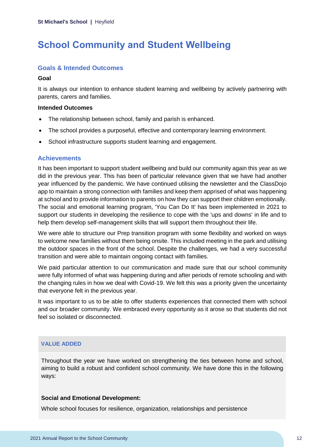# <span id="page-12-0"></span>**School Community and Student Wellbeing**

# **Goals & Intended Outcomes**

#### **Goal**

It is always our intention to enhance student learning and wellbeing by actively partnering with parents, carers and families.

#### **Intended Outcomes**

- The relationship between school, family and parish is enhanced.
- The school provides a purposeful, effective and contemporary learning environment.
- School infrastructure supports student learning and engagement.

### **Achievements**

It has been important to support student wellbeing and build our community again this year as we did in the previous year. This has been of particular relevance given that we have had another year influenced by the pandemic. We have continued utilising the newsletter and the ClassDojo app to maintain a strong connection with families and keep them apprised of what was happening at school and to provide information to parents on how they can support their children emotionally. The social and emotional learning program, 'You Can Do It' has been implemented in 2021 to support our students in developing the resilience to cope with the 'ups and downs' in life and to help them develop self-management skills that will support them throughout their life.

We were able to structure our Prep transition program with some flexibility and worked on ways to welcome new families without them being onsite. This included meeting in the park and utilising the outdoor spaces in the front of the school. Despite the challenges, we had a very successful transition and were able to maintain ongoing contact with families.

We paid particular attention to our communication and made sure that our school community were fully informed of what was happening during and after periods of remote schooling and with the changing rules in how we deal with Covid-19. We felt this was a priority given the uncertainty that everyone felt in the previous year.

It was important to us to be able to offer students experiences that connected them with school and our broader community. We embraced every opportunity as it arose so that students did not feel so isolated or disconnected.

# **VALUE ADDED**

Throughout the year we have worked on strengthening the ties between home and school, aiming to build a robust and confident school community. We have done this in the following ways:

### **Social and Emotional Development:**

Whole school focuses for resilience, organization, relationships and persistence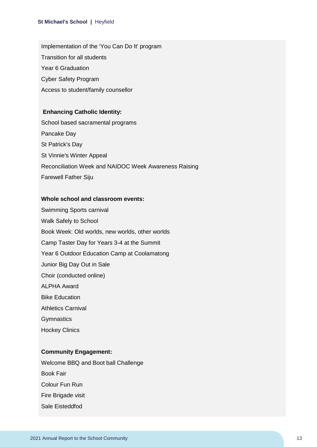Implementation of the 'You Can Do It' program Transition for all students Year 6 Graduation Cyber Safety Program Access to student/family counsellor

#### **Enhancing Catholic Identity:**

School based sacramental programs Pancake Day St Patrick's Day St Vinnie's Winter Appeal Reconciliation Week and NAIDOC Week Awareness Raising Farewell Father Siju

#### **Whole school and classroom events:**

Swimming Sports carnival Walk Safely to School Book Week: Old worlds, new worlds, other worlds Camp Taster Day for Years 3-4 at the Summit Year 6 Outdoor Education Camp at Coolamatong Junior Big Day Out in Sale Choir (conducted online) ALPHA Award Bike Education Athletics Carnival **Gymnastics** Hockey Clinics

# **Community Engagement:**

Welcome BBQ and Boot ball Challenge Book Fair Colour Fun Run Fire Brigade visit Sale Eisteddfod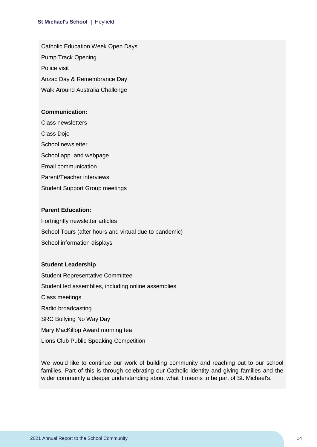Catholic Education Week Open Days Pump Track Opening Police visit Anzac Day & Remembrance Day Walk Around Australia Challenge

#### **Communication:**

Class newsletters Class Dojo School newsletter School app. and webpage Email communication Parent/Teacher interviews Student Support Group meetings

### **Parent Education:**

Fortnightly newsletter articles School Tours (after hours and virtual due to pandemic) School information displays

#### **Student Leadership**

Student Representative Committee Student led assemblies, including online assemblies Class meetings Radio broadcasting SRC Bullying No Way Day Mary MacKillop Award morning tea Lions Club Public Speaking Competition

We would like to continue our work of building community and reaching out to our school families. Part of this is through celebrating our Catholic identity and giving families and the wider community a deeper understanding about what it means to be part of St. Michael's.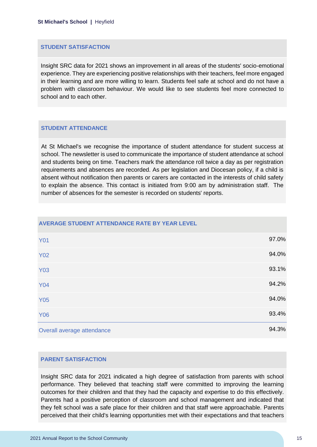#### **STUDENT SATISFACTION**

Insight SRC data for 2021 shows an improvement in all areas of the students' socio-emotional experience. They are experiencing positive relationships with their teachers, feel more engaged in their learning and are more willing to learn. Students feel safe at school and do not have a problem with classroom behaviour. We would like to see students feel more connected to school and to each other.

#### **STUDENT ATTENDANCE**

At St Michael's we recognise the importance of student attendance for student success at school. The newsletter is used to communicate the importance of student attendance at school and students being on time. Teachers mark the attendance roll twice a day as per registration requirements and absences are recorded. As per legislation and Diocesan policy, if a child is absent without notification then parents or carers are contacted in the interests of child safety to explain the absence. This contact is initiated from 9:00 am by administration staff. The number of absences for the semester is recorded on students' reports.

| AVERAGE STUDENT ATTENDANCE RATE BY YEAR LEVEL |       |
|-----------------------------------------------|-------|
| <b>Y01</b>                                    | 97.0% |
| <b>Y02</b>                                    | 94.0% |
| <b>Y03</b>                                    | 93.1% |
| <b>Y04</b>                                    | 94.2% |
| <b>Y05</b>                                    | 94.0% |
| <b>Y06</b>                                    | 93.4% |
| Overall average attendance                    | 94.3% |

#### **PARENT SATISFACTION**

Insight SRC data for 2021 indicated a high degree of satisfaction from parents with school performance. They believed that teaching staff were committed to improving the learning outcomes for their children and that they had the capacity and expertise to do this effectively. Parents had a positive perception of classroom and school management and indicated that they felt school was a safe place for their children and that staff were approachable. Parents perceived that their child's learning opportunities met with their expectations and that teachers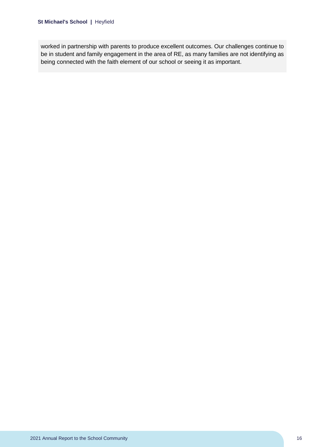worked in partnership with parents to produce excellent outcomes. Our challenges continue to be in student and family engagement in the area of RE, as many families are not identifying as being connected with the faith element of our school or seeing it as important.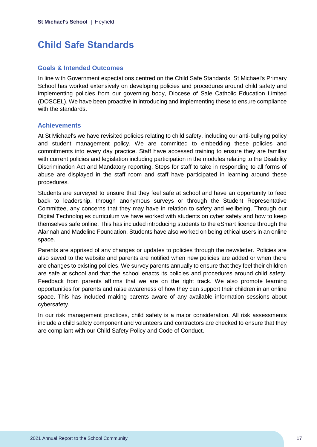# <span id="page-17-0"></span>**Child Safe Standards**

# **Goals & Intended Outcomes**

In line with Government expectations centred on the Child Safe Standards, St Michael's Primary School has worked extensively on developing policies and procedures around child safety and implementing policies from our governing body, Diocese of Sale Catholic Education Limited (DOSCEL). We have been proactive in introducing and implementing these to ensure compliance with the standards.

# **Achievements**

At St Michael's we have revisited policies relating to child safety, including our anti-bullying policy and student management policy. We are committed to embedding these policies and commitments into every day practice. Staff have accessed training to ensure they are familiar with current policies and legislation including participation in the modules relating to the Disability Discrimination Act and Mandatory reporting. Steps for staff to take in responding to all forms of abuse are displayed in the staff room and staff have participated in learning around these procedures.

Students are surveyed to ensure that they feel safe at school and have an opportunity to feed back to leadership, through anonymous surveys or through the Student Representative Committee, any concerns that they may have in relation to safety and wellbeing. Through our Digital Technologies curriculum we have worked with students on cyber safety and how to keep themselves safe online. This has included introducing students to the eSmart licence through the Alannah and Madeline Foundation. Students have also worked on being ethical users in an online space.

Parents are apprised of any changes or updates to policies through the newsletter. Policies are also saved to the website and parents are notified when new policies are added or when there are changes to existing policies. We survey parents annually to ensure that they feel their children are safe at school and that the school enacts its policies and procedures around child safety. Feedback from parents affirms that we are on the right track. We also promote learning opportunities for parents and raise awareness of how they can support their children in an online space. This has included making parents aware of any available information sessions about cybersafety.

In our risk management practices, child safety is a major consideration. All risk assessments include a child safety component and volunteers and contractors are checked to ensure that they are compliant with our Child Safety Policy and Code of Conduct.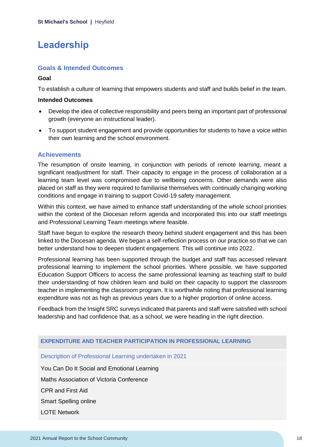# <span id="page-18-0"></span>**Leadership**

# **Goals & Intended Outcomes**

### **Goal**

To establish a culture of learning that empowers students and staff and builds belief in the team.

#### **Intended Outcomes**

- Develop the idea of collective responsibility and peers being an important part of professional growth (everyone an instructional leader).
- To support student engagement and provide opportunities for students to have a voice within their own learning and the school environment.

### **Achievements**

The resumption of onsite learning, in conjunction with periods of remote learning, meant a significant readjustment for staff. Their capacity to engage in the process of collaboration at a learning team level was compromised due to wellbeing concerns. Other demands were also placed on staff as they were required to familiarise themselves with continually changing working conditions and engage in training to support Covid-19 safety management.

Within this context, we have aimed to enhance staff understanding of the whole school priorities within the context of the Diocesan reform agenda and incorporated this into our staff meetings and Professional Learning Team meetings where feasible.

Staff have begun to explore the research theory behind student engagement and this has been linked to the Diocesan agenda. We began a self-reflection process on our practice so that we can better understand how to deepen student engagement. This will continue into 2022.

Professional learning has been supported through the budget and staff has accessed relevant professional learning to implement the school priorities. Where possible, we have supported Education Support Officers to access the same professional learning as teaching staff to build their understanding of how children learn and build on their capacity to support the classroom teacher in implementing the classroom program. It is worthwhile noting that professional learning expenditure was not as high as previous years due to a higher proportion of online access.

Feedback from the Insight SRC surveys indicated that parents and staff were satisfied with school leadership and had confidence that, as a school, we were heading in the right direction.

### **EXPENDITURE AND TEACHER PARTICIPATION IN PROFESSIONAL LEARNING**

Description of Professional Learning undertaken in 2021

You Can Do It Social and Emotional Learning

Maths Association of Victoria Conference

CPR and First Aid

Smart Spelling online

LOTE Network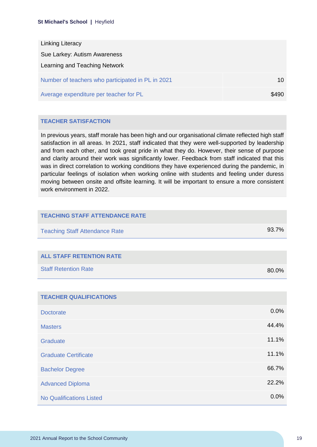| <b>Linking Literacy</b>                           |       |
|---------------------------------------------------|-------|
| Sue Larkey: Autism Awareness                      |       |
| Learning and Teaching Network                     |       |
| Number of teachers who participated in PL in 2021 | 10    |
| Average expenditure per teacher for PL            | \$490 |

# **TEACHER SATISFACTION**

In previous years, staff morale has been high and our organisational climate reflected high staff satisfaction in all areas. In 2021, staff indicated that they were well-supported by leadership and from each other, and took great pride in what they do. However, their sense of purpose and clarity around their work was significantly lower. Feedback from staff indicated that this was in direct correlation to working conditions they have experienced during the pandemic, in particular feelings of isolation when working online with students and feeling under duress moving between onsite and offsite learning. It will be important to ensure a more consistent work environment in 2022.

| <b>TEACHING STAFF ATTENDANCE RATE</b> |       |
|---------------------------------------|-------|
| <b>Teaching Staff Attendance Rate</b> | 93.7% |
|                                       |       |
| <b>ALL STAFF RETENTION RATE</b>       |       |
| <b>Staff Retention Rate</b>           | 80.0% |
|                                       |       |
| <b>TEACHER QUALIFICATIONS</b>         |       |
| <b>Doctorate</b>                      | 0.0%  |
| <b>Masters</b>                        | 44.4% |
| Graduate                              | 11.1% |
| <b>Graduate Certificate</b>           | 11.1% |
| <b>Bachelor Degree</b>                | 66.7% |
| <b>Advanced Diploma</b>               | 22.2% |
| <b>No Qualifications Listed</b>       | 0.0%  |